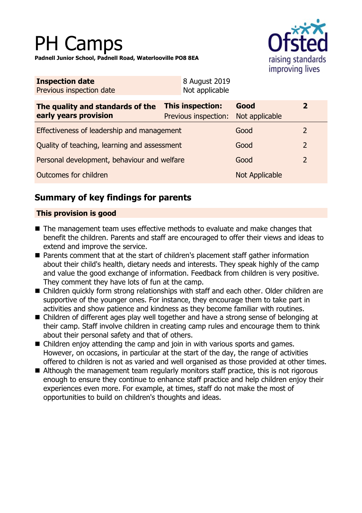# PH Camps

**Padnell Junior School, Padnell Road, Waterlooville PO8 8EA**



| <b>Inspection date</b>   | 8 August 2019  |
|--------------------------|----------------|
| Previous inspection date | Not applicable |

| The quality and standards of the<br>early years provision | <b>This inspection:</b><br>Previous inspection: | Good<br>Not applicable |               |
|-----------------------------------------------------------|-------------------------------------------------|------------------------|---------------|
| Effectiveness of leadership and management                |                                                 | Good                   |               |
| Quality of teaching, learning and assessment              |                                                 | Good                   | $\mathcal{L}$ |
| Personal development, behaviour and welfare               |                                                 | Good                   |               |
| Outcomes for children                                     |                                                 | <b>Not Applicable</b>  |               |

## **Summary of key findings for parents**

### **This provision is good**

- $\blacksquare$  The management team uses effective methods to evaluate and make changes that benefit the children. Parents and staff are encouraged to offer their views and ideas to extend and improve the service.
- Parents comment that at the start of children's placement staff gather information about their child's health, dietary needs and interests. They speak highly of the camp and value the good exchange of information. Feedback from children is very positive. They comment they have lots of fun at the camp.
- Children quickly form strong relationships with staff and each other. Older children are supportive of the younger ones. For instance, they encourage them to take part in activities and show patience and kindness as they become familiar with routines.
- Children of different ages play well together and have a strong sense of belonging at their camp. Staff involve children in creating camp rules and encourage them to think about their personal safety and that of others.
- $\blacksquare$  Children enjoy attending the camp and join in with various sports and games. However, on occasions, in particular at the start of the day, the range of activities offered to children is not as varied and well organised as those provided at other times.
- $\blacksquare$  Although the management team regularly monitors staff practice, this is not rigorous enough to ensure they continue to enhance staff practice and help children enjoy their experiences even more. For example, at times, staff do not make the most of opportunities to build on children's thoughts and ideas.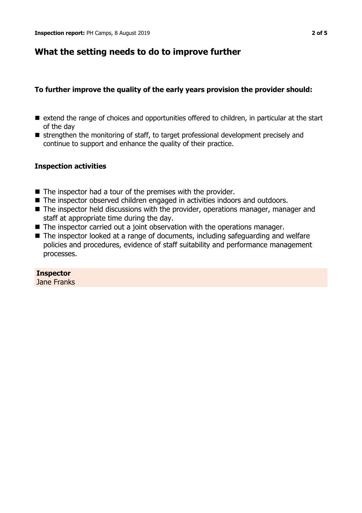## **What the setting needs to do to improve further**

#### **To further improve the quality of the early years provision the provider should:**

- extend the range of choices and opportunities offered to children, in particular at the start of the day
- strengthen the monitoring of staff, to target professional development precisely and continue to support and enhance the quality of their practice.

#### **Inspection activities**

- $\blacksquare$  The inspector had a tour of the premises with the provider.
- The inspector observed children engaged in activities indoors and outdoors.
- $\blacksquare$  The inspector held discussions with the provider, operations manager, manager and staff at appropriate time during the day.
- $\blacksquare$  The inspector carried out a joint observation with the operations manager.
- $\blacksquare$  The inspector looked at a range of documents, including safeguarding and welfare policies and procedures, evidence of staff suitability and performance management processes.

#### **Inspector**

Jane Franks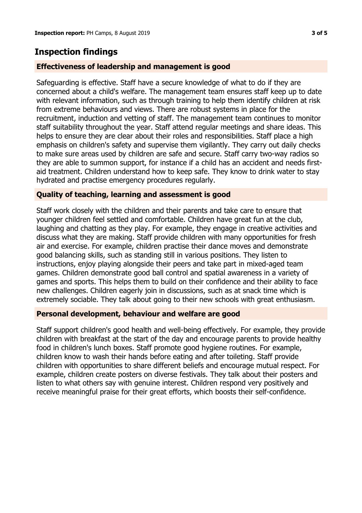## **Inspection findings**

#### **Effectiveness of leadership and management is good**

Safeguarding is effective. Staff have a secure knowledge of what to do if they are concerned about a child's welfare. The management team ensures staff keep up to date with relevant information, such as through training to help them identify children at risk from extreme behaviours and views. There are robust systems in place for the recruitment, induction and vetting of staff. The management team continues to monitor staff suitability throughout the year. Staff attend regular meetings and share ideas. This helps to ensure they are clear about their roles and responsibilities. Staff place a high emphasis on children's safety and supervise them vigilantly. They carry out daily checks to make sure areas used by children are safe and secure. Staff carry two-way radios so they are able to summon support, for instance if a child has an accident and needs firstaid treatment. Children understand how to keep safe. They know to drink water to stay hydrated and practise emergency procedures regularly.

#### **Quality of teaching, learning and assessment is good**

Staff work closely with the children and their parents and take care to ensure that younger children feel settled and comfortable. Children have great fun at the club, laughing and chatting as they play. For example, they engage in creative activities and discuss what they are making. Staff provide children with many opportunities for fresh air and exercise. For example, children practise their dance moves and demonstrate good balancing skills, such as standing still in various positions. They listen to instructions, enjoy playing alongside their peers and take part in mixed-aged team games. Children demonstrate good ball control and spatial awareness in a variety of games and sports. This helps them to build on their confidence and their ability to face new challenges. Children eagerly join in discussions, such as at snack time which is extremely sociable. They talk about going to their new schools with great enthusiasm.

#### **Personal development, behaviour and welfare are good**

Staff support children's good health and well-being effectively. For example, they provide children with breakfast at the start of the day and encourage parents to provide healthy food in children's lunch boxes. Staff promote good hygiene routines. For example, children know to wash their hands before eating and after toileting. Staff provide children with opportunities to share different beliefs and encourage mutual respect. For example, children create posters on diverse festivals. They talk about their posters and listen to what others say with genuine interest. Children respond very positively and receive meaningful praise for their great efforts, which boosts their self-confidence.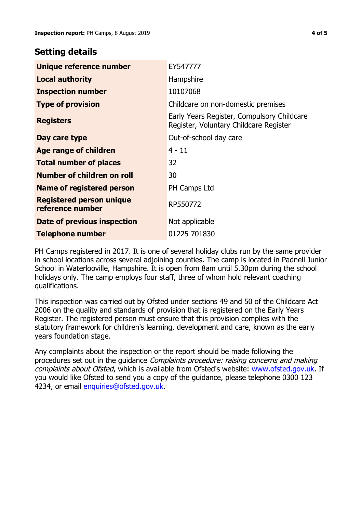## **Setting details**

| Unique reference number                             | EY547777                                                                             |
|-----------------------------------------------------|--------------------------------------------------------------------------------------|
| <b>Local authority</b>                              | Hampshire                                                                            |
| <b>Inspection number</b>                            | 10107068                                                                             |
| <b>Type of provision</b>                            | Childcare on non-domestic premises                                                   |
| <b>Registers</b>                                    | Early Years Register, Compulsory Childcare<br>Register, Voluntary Childcare Register |
| Day care type                                       | Out-of-school day care                                                               |
| Age range of children                               | 4 - 11                                                                               |
| <b>Total number of places</b>                       | 32                                                                                   |
| Number of children on roll                          | 30                                                                                   |
| Name of registered person                           | PH Camps Ltd                                                                         |
| <b>Registered person unique</b><br>reference number | RP550772                                                                             |
| Date of previous inspection                         | Not applicable                                                                       |
| <b>Telephone number</b>                             | 01225 701830                                                                         |

PH Camps registered in 2017. It is one of several holiday clubs run by the same provider in school locations across several adjoining counties. The camp is located in Padnell Junior School in Waterlooville, Hampshire. It is open from 8am until 5.30pm during the school holidays only. The camp employs four staff, three of whom hold relevant coaching qualifications.

This inspection was carried out by Ofsted under sections 49 and 50 of the Childcare Act 2006 on the quality and standards of provision that is registered on the Early Years Register. The registered person must ensure that this provision complies with the statutory framework for children's learning, development and care, known as the early years foundation stage.

Any complaints about the inspection or the report should be made following the procedures set out in the guidance Complaints procedure: raising concerns and making complaints about Ofsted, which is available from Ofsted's website: www.ofsted.gov.uk. If you would like Ofsted to send you a copy of the guidance, please telephone 0300 123 4234, or email [enquiries@ofsted.gov.uk.](mailto:enquiries@ofsted.gov.uk)